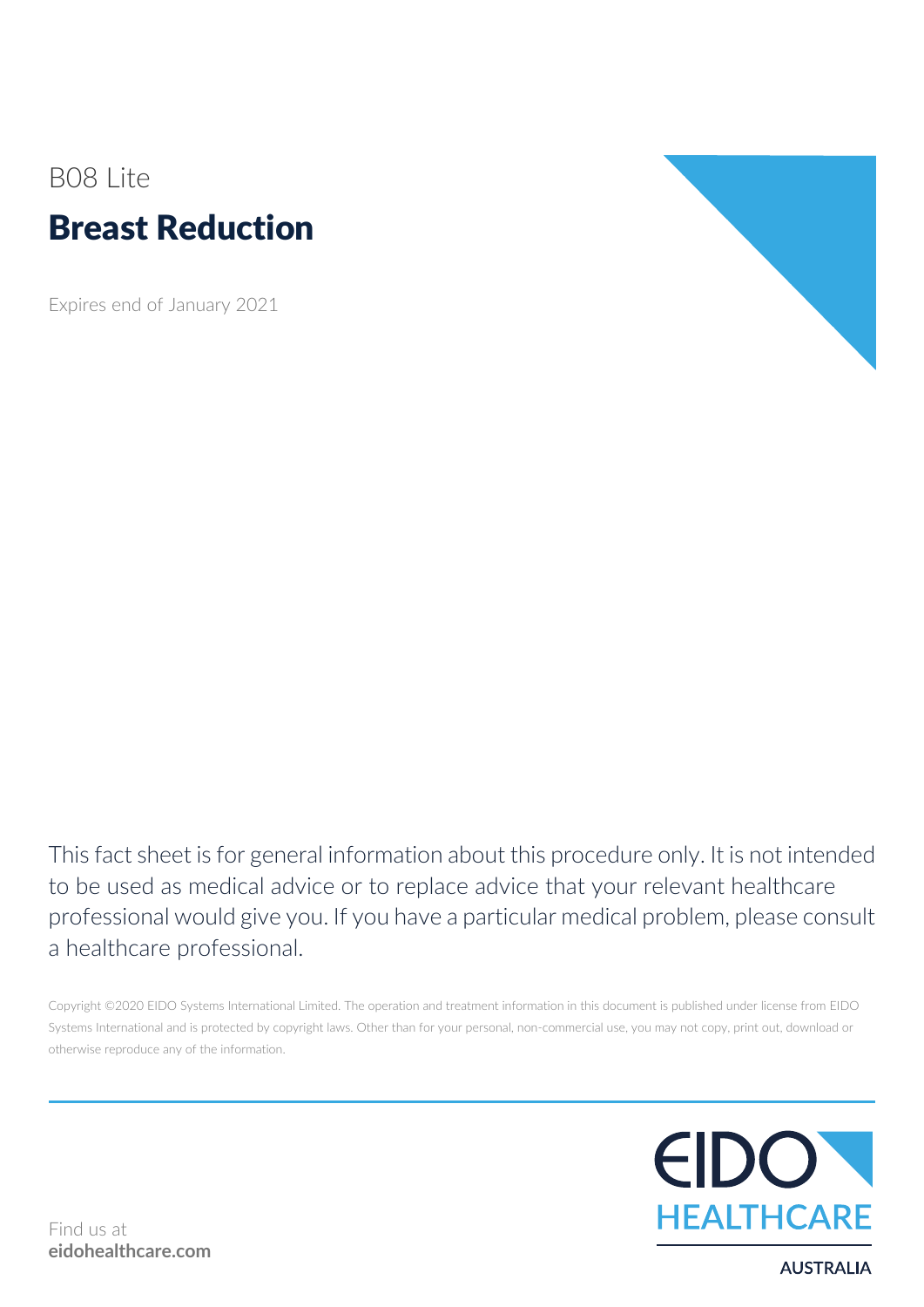# B08 Lite Breast Reduction

Expires end of January 2021



This fact sheet is for general information about this procedure only. It is not intended to be used as medical advice or to replace advice that your relevant healthcare professional would give you. If you have a particular medical problem, please consult a healthcare professional.

Copyright ©2020 EIDO Systems International Limited. The operation and treatment information in this document is published under license from EIDO Systems International and is protected by copyright laws. Other than for your personal, non-commercial use, you may not copy, print out, download or otherwise reproduce any of the information.



Find us at **eidohealthcare.com**

**AUSTRALIA**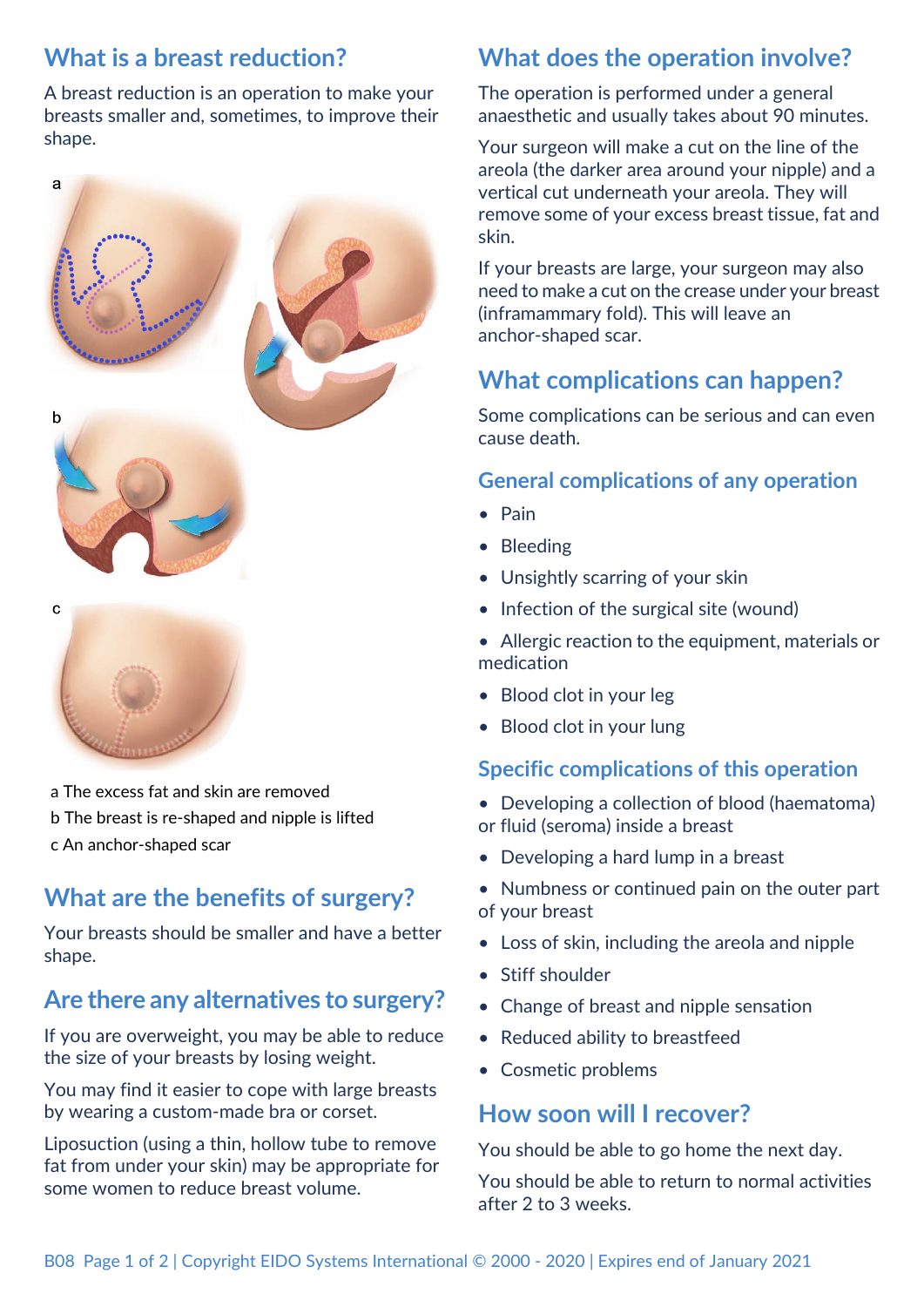## **What is a breast reduction?**

A breast reduction is an operation to make your breasts smaller and, sometimes, to improve their shape.







- a The excess fat and skin are removed
- b The breast is re-shaped and nipple is lifted
- c An anchor-shaped scar

## **What are the benefits of surgery?**

Your breasts should be smaller and have a better shape.

## **Are there any alternatives to surgery?**

If you are overweight, you may be able to reduce the size of your breasts by losing weight.

You may find it easier to cope with large breasts by wearing a custom-made bra or corset.

Liposuction (using a thin, hollow tube to remove fat from under your skin) may be appropriate for some women to reduce breast volume.

## **What does the operation involve?**

The operation is performed under a general anaesthetic and usually takes about 90 minutes.

Your surgeon will make a cut on the line of the areola (the darker area around your nipple) and a vertical cut underneath your areola. They will remove some of your excess breast tissue, fat and skin.

If your breasts are large, your surgeon may also need to make a cut on the crease under your breast (inframammary fold). This will leave an anchor-shaped scar.

## **What complications can happen?**

Some complications can be serious and can even cause death.

#### **General complications of any operation**

- Pain
- Bleeding
- Unsightly scarring of your skin
- Infection of the surgical site (wound)
- Allergic reaction to the equipment, materials or medication
- Blood clot in your leg
- Blood clot in your lung

#### **Specific complications of this operation**

- Developing a collection of blood (haematoma) or fluid (seroma) inside a breast
- Developing a hard lump in a breast
- Numbness or continued pain on the outer part of your breast
- Loss of skin, including the areola and nipple
- Stiff shoulder
- Change of breast and nipple sensation
- Reduced ability to breastfeed
- Cosmetic problems

### **How soon will I recover?**

You should be able to go home the next day.

You should be able to return to normal activities after 2 to 3 weeks.